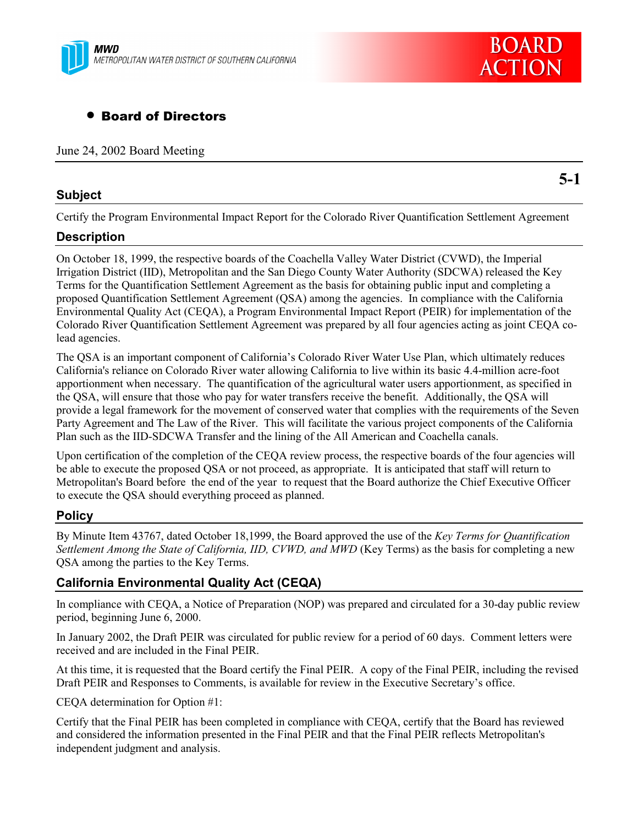

# • Board of Directors

June 24, 2002 Board Meeting

### **Subject**

**5-1**

**BOARD** 

**ACTION** 

Certify the Program Environmental Impact Report for the Colorado River Quantification Settlement Agreement

### **Description**

On October 18, 1999, the respective boards of the Coachella Valley Water District (CVWD), the Imperial Irrigation District (IID), Metropolitan and the San Diego County Water Authority (SDCWA) released the Key Terms for the Quantification Settlement Agreement as the basis for obtaining public input and completing a proposed Quantification Settlement Agreement (QSA) among the agencies. In compliance with the California Environmental Quality Act (CEQA), a Program Environmental Impact Report (PEIR) for implementation of the Colorado River Quantification Settlement Agreement was prepared by all four agencies acting as joint CEQA colead agencies.

The QSA is an important component of California's Colorado River Water Use Plan, which ultimately reduces California's reliance on Colorado River water allowing California to live within its basic 4.4-million acre-foot apportionment when necessary. The quantification of the agricultural water users apportionment, as specified in the QSA, will ensure that those who pay for water transfers receive the benefit. Additionally, the QSA will provide a legal framework for the movement of conserved water that complies with the requirements of the Seven Party Agreement and The Law of the River. This will facilitate the various project components of the California Plan such as the IID-SDCWA Transfer and the lining of the All American and Coachella canals.

Upon certification of the completion of the CEQA review process, the respective boards of the four agencies will be able to execute the proposed QSA or not proceed, as appropriate. It is anticipated that staff will return to Metropolitan's Board before the end of the year to request that the Board authorize the Chief Executive Officer to execute the QSA should everything proceed as planned.

### **Policy**

By Minute Item 43767, dated October 18,1999, the Board approved the use of the *Key Terms for Quantification Settlement Among the State of California, IID, CVWD, and MWD* (Key Terms) as the basis for completing a new QSA among the parties to the Key Terms.

### **California Environmental Quality Act (CEQA)**

In compliance with CEQA, a Notice of Preparation (NOP) was prepared and circulated for a 30-day public review period, beginning June 6, 2000.

In January 2002, the Draft PEIR was circulated for public review for a period of 60 days. Comment letters were received and are included in the Final PEIR.

At this time, it is requested that the Board certify the Final PEIR. A copy of the Final PEIR, including the revised Draft PEIR and Responses to Comments, is available for review in the Executive Secretary's office.

CEQA determination for Option #1:

Certify that the Final PEIR has been completed in compliance with CEQA, certify that the Board has reviewed and considered the information presented in the Final PEIR and that the Final PEIR reflects Metropolitan's independent judgment and analysis.